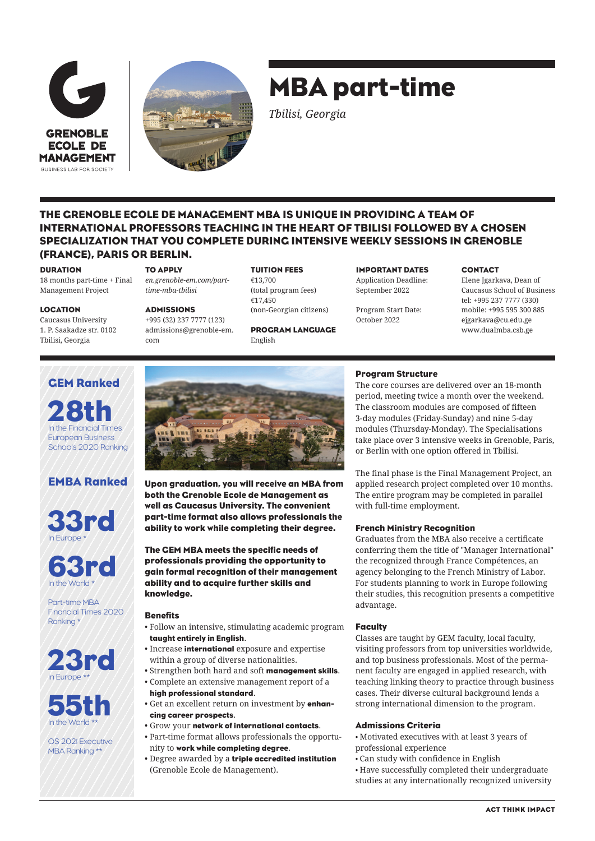



# MBA part-time

*Tbilisi, Georgia*

# THE GRENOBLE ECOLE DE MANAGEMENT MBA IS UNIQUE IN PROVIDING A TEAM OF INTERNATIONAL PROFESSORS TEACHING IN THE HEART OF TBILISI FOLLOWED BY A CHOSEN SPECIALIZATION THAT YOU COMPLETE DURING INTENSIVE WEEKLY SESSIONS IN GRENOBLE (FRANCE), PARIS OR BERLIN.

#### DURATION

18 months part-time + Final Management Project

#### TO APPLY

*en.grenoble-em.com/parttime-mba-tbilisi*

> +995 (32) 237 7777 (123) admissions@grenoble-em. com

#### TUITION FEES

€13,700 (total program fees) €17,450 (non-Georgian citizens)

PROGRAM LANGUAGE English

IMPORTANT DATES Application Deadline: September 2022

Program Start Date: October 2022

#### **CONTACT**

Elene Jgarkava, Dean of Caucasus School of Business tel: +995 237 7777 (330) mobile: +995 595 300 885 ejgarkava@cu.edu.ge www.dualmba.csb.ge

# LOCATION

Caucasus University 1. P. Saakadze str. 0102 Tbilisi, Georgia

GEM Ranked

28th

European Business Schools 2020 Ranking

# ADMISSIONS

Program Structure

The core courses are delivered over an 18-month period, meeting twice a month over the weekend. The classroom modules are composed of fifteen 3-day modules (Friday-Sunday) and nine 5-day modules (Thursday-Monday). The Specialisations take place over 3 intensive weeks in Grenoble, Paris, or Berlin with one option offered in Tbilisi.

The final phase is the Final Management Project, an applied research project completed over 10 months. The entire program may be completed in parallel with full-time employment.

# French Ministry Recognition

Graduates from the MBA also receive a certificate conferring them the title of "Manager International" the recognized through France Compétences, an agency belonging to the French Ministry of Labor. For students planning to work in Europe following their studies, this recognition presents a competitive advantage.

#### **Faculty**

Classes are taught by GEM faculty, local faculty, visiting professors from top universities worldwide, and top business professionals. Most of the permanent faculty are engaged in applied research, with teaching linking theory to practice through business cases. Their diverse cultural background lends a strong international dimension to the program.

# Admissions Criteria

• Motivated executives with at least 3 years of professional experience

- Can study with confidence in English
- Have successfully completed their undergraduate studies at any internationally recognized university







Part-time MBA Financial Times 2020 Ranking \*





QS 2021 Executive MBA Ranking \*\*



Upon graduation, you will receive an MBA from both the Grenoble Ecole de Management as well as Caucasus University. The convenient part-time format also allows professionals the ability to work while completing their degree.

The GEM MBA meets the specific needs of professionals providing the opportunity to gain formal recognition of their management ability and to acquire further skills and knowledge.

# **Benefits**

- Follow an intensive, stimulating academic program taught entirely in English.
- Increase international exposure and expertise within a group of diverse nationalities.
- Strengthen both hard and soft management skills.
- Complete an extensive management report of a high professional standard.
- Get an excellent return on investment by enhancing career prospects.
- Grow your network of international contacts.
- Part-time format allows professionals the opportunity to work while completing degree.
- Degree awarded by a triple accredited institution (Grenoble Ecole de Management).